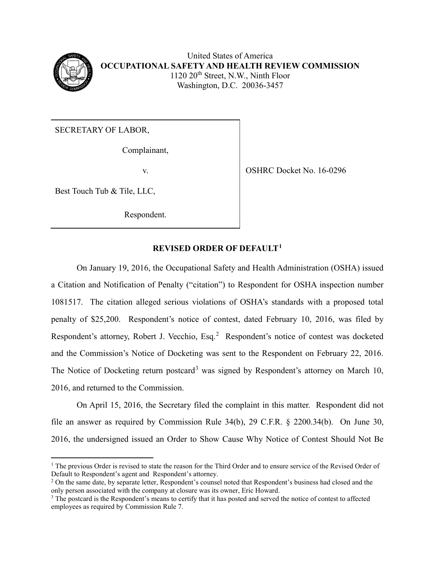

United States of America **OCCUPATIONAL SAFETY AND HEALTH REVIEW COMMISSION** 1120 20<sup>th</sup> Street, N.W., Ninth Floor Washington, D.C. 20036-3457

SECRETARY OF LABOR,

Complainant,

Best Touch Tub & Tile, LLC,

Respondent.

v. Solution of the OSHRC Docket No. 16-0296

## **REVISED ORDER OF DEFAULT[1](#page-0-0)**

On January 19, 2016, the Occupational Safety and Health Administration (OSHA) issued a Citation and Notification of Penalty ("citation") to Respondent for OSHA inspection number 1081517. The citation alleged serious violations of OSHA's standards with a proposed total penalty of \$25,200. Respondent's notice of contest, dated February 10, 2016, was filed by Respondent's attorney, Robert J. Vecchio, Esq.<sup>[2](#page-0-1)</sup> Respondent's notice of contest was docketed and the Commission's Notice of Docketing was sent to the Respondent on February 22, 2016. The Notice of Docketing return postcard<sup>[3](#page-0-2)</sup> was signed by Respondent's attorney on March 10, 2016, and returned to the Commission.

 On April 15, 2016, the Secretary filed the complaint in this matter. Respondent did not file an answer as required by Commission Rule 34(b), 29 C.F.R. § 2200.34(b). On June 30, 2016, the undersigned issued an Order to Show Cause Why Notice of Contest Should Not Be

<span id="page-0-0"></span> $\overline{a}$ <sup>1</sup> The previous Order is revised to state the reason for the Third Order and to ensure service of the Revised Order of Default to Respondent's agent and Respondent's attorney.

<span id="page-0-1"></span><sup>&</sup>lt;sup>2</sup> On the same date, by separate letter, Respondent's counsel noted that Respondent's business had closed and the only person associated with the company at closure was its owner, Eric Howard.  $3$  The postcard is the Respondent's means to certify that it has posted and served the notice of contest to affected

<span id="page-0-2"></span>employees as required by Commission Rule 7.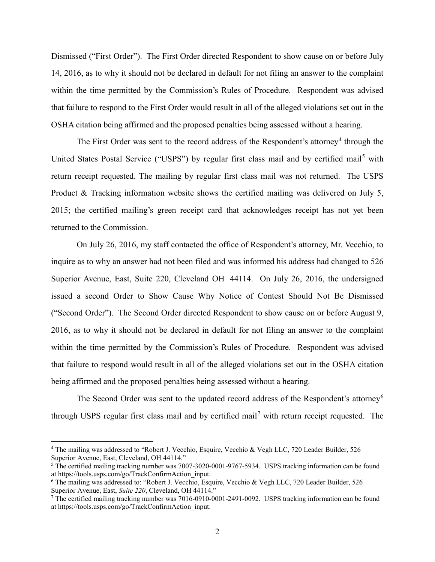Dismissed ("First Order"). The First Order directed Respondent to show cause on or before July 14, 2016, as to why it should not be declared in default for not filing an answer to the complaint within the time permitted by the Commission's Rules of Procedure. Respondent was advised that failure to respond to the First Order would result in all of the alleged violations set out in the OSHA citation being affirmed and the proposed penalties being assessed without a hearing.

The First Order was sent to the record address of the Respondent's attorney<sup>[4](#page-1-0)</sup> through the United States Postal Service ("USPS") by regular first class mail and by certified mail<sup>[5](#page-1-1)</sup> with return receipt requested. The mailing by regular first class mail was not returned. The USPS Product & Tracking information website shows the certified mailing was delivered on July 5, 2015; the certified mailing's green receipt card that acknowledges receipt has not yet been returned to the Commission.

On July 26, 2016, my staff contacted the office of Respondent's attorney, Mr. Vecchio, to inquire as to why an answer had not been filed and was informed his address had changed to 526 Superior Avenue, East, Suite 220, Cleveland OH 44114. On July 26, 2016, the undersigned issued a second Order to Show Cause Why Notice of Contest Should Not Be Dismissed ("Second Order"). The Second Order directed Respondent to show cause on or before August 9, 2016, as to why it should not be declared in default for not filing an answer to the complaint within the time permitted by the Commission's Rules of Procedure. Respondent was advised that failure to respond would result in all of the alleged violations set out in the OSHA citation being affirmed and the proposed penalties being assessed without a hearing.

The Second Order was sent to the updated record address of the Respondent's attorney<sup>[6](#page-1-2)</sup> through USPS regular first class mail and by certified mail<sup>[7](#page-1-3)</sup> with return receipt requested. The

 $\overline{a}$ 

<span id="page-1-0"></span><sup>&</sup>lt;sup>4</sup> The mailing was addressed to "Robert J. Vecchio, Esquire, Vecchio & Vegh LLC, 720 Leader Builder, 526 Superior Avenue, East, Cleveland, OH 44114."

<span id="page-1-1"></span><sup>&</sup>lt;sup>5</sup> The certified mailing tracking number was 7007-3020-0001-9767-5934. USPS tracking information can be found at https://tools.usps.com/go/TrackConfirmAction input.

<span id="page-1-2"></span><sup>&</sup>lt;sup>6</sup> The mailing was addressed to: "Robert J. Vecchio, Esquire, Vecchio & Vegh LLC, 720 Leader Builder, 526 Superior Avenue, East, Suite 220, Cleveland, OH 44114."

<span id="page-1-3"></span><sup>&</sup>lt;sup>7</sup> The certified mailing tracking number was  $7016-0910-0001-2491-0092$ . USPS tracking information can be found at https://tools.usps.com/go/TrackConfirmAction\_input.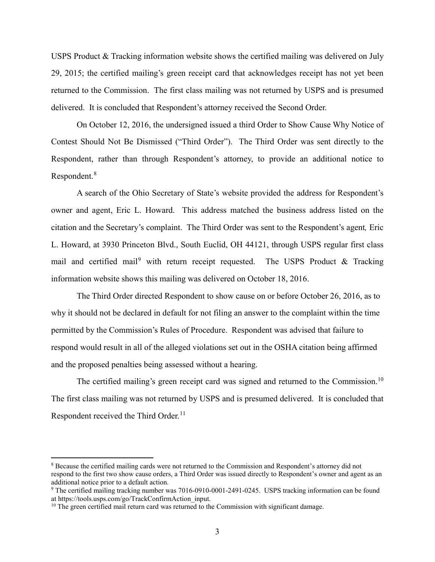USPS Product & Tracking information website shows the certified mailing was delivered on July 29, 2015; the certified mailing's green receipt card that acknowledges receipt has not yet been returned to the Commission. The first class mailing was not returned by USPS and is presumed delivered. It is concluded that Respondent's attorney received the Second Order.

On October 12, 2016, the undersigned issued a third Order to Show Cause Why Notice of Contest Should Not Be Dismissed ("Third Order"). The Third Order was sent directly to the Respondent, rather than through Respondent's attorney, to provide an additional notice to Respondent.<sup>[8](#page-2-0)</sup>

A search of the Ohio Secretary of State's website provided the address for Respondent's owner and agent, Eric L. Howard. This address matched the business address listed on the citation and the Secretary's complaint. The Third Order was sent to the Respondent's agent*,* Eric L. Howard, at 3930 Princeton Blvd., South Euclid, OH 44121, through USPS regular first class mail and certified mail<sup>[9](#page-2-1)</sup> with return receipt requested. The USPS Product & Tracking information website shows this mailing was delivered on October 18, 2016.

The Third Order directed Respondent to show cause on or before October 26, 2016, as to why it should not be declared in default for not filing an answer to the complaint within the time permitted by the Commission's Rules of Procedure. Respondent was advised that failure to respond would result in all of the alleged violations set out in the OSHA citation being affirmed and the proposed penalties being assessed without a hearing.

The certified mailing's green receipt card was signed and returned to the Commission.<sup>[10](#page-2-2)</sup> The first class mailing was not returned by USPS and is presumed delivered. It is concluded that Respondent received the Third Order.<sup>[11](#page-2-3)</sup>

 $\overline{a}$ 

<span id="page-2-3"></span><span id="page-2-0"></span><sup>8</sup> Because the certified mailing cards were not returned to the Commission and Respondent's attorney did not respond to the first two show cause orders, a Third Order was issued directly to Respondent's owner and agent as an additional notice prior to a default action.

<span id="page-2-1"></span><sup>&</sup>lt;sup>9</sup> The certified mailing tracking number was 7016-0910-0001-2491-0245. USPS tracking information can be found at https://tools.usps.com/go/TrackConfirmAction input.

<span id="page-2-2"></span> $10$  The green certified mail return card was returned to the Commission with significant damage.